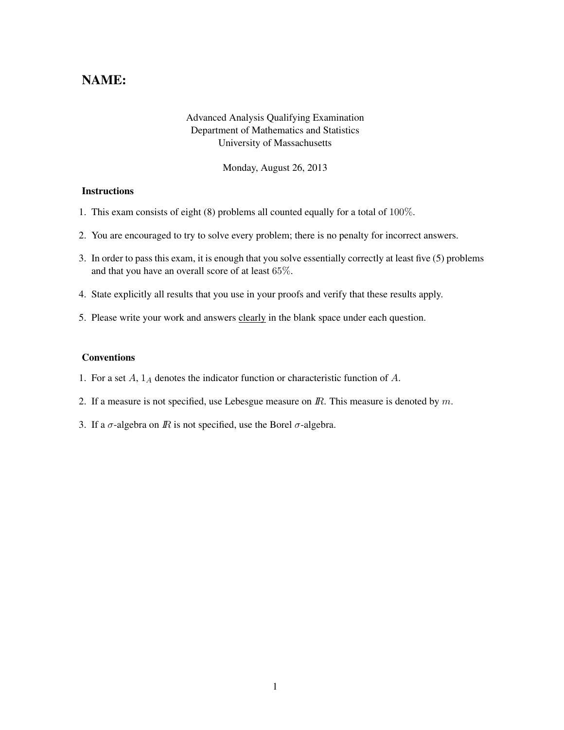## NAME:

## Advanced Analysis Qualifying Examination Department of Mathematics and Statistics University of Massachusetts

Monday, August 26, 2013

## **Instructions**

- 1. This exam consists of eight (8) problems all counted equally for a total of 100%.
- 2. You are encouraged to try to solve every problem; there is no penalty for incorrect answers.
- 3. In order to pass this exam, it is enough that you solve essentially correctly at least five (5) problems and that you have an overall score of at least 65%.
- 4. State explicitly all results that you use in your proofs and verify that these results apply.
- 5. Please write your work and answers clearly in the blank space under each question.

## Conventions

- 1. For a set  $A$ ,  $1_A$  denotes the indicator function or characteristic function of  $A$ .
- 2. If a measure is not specified, use Lebesgue measure on  $\mathbb{R}$ . This measure is denoted by  $m$ .
- 3. If a  $\sigma$ -algebra on *IR* is not specified, use the Borel  $\sigma$ -algebra.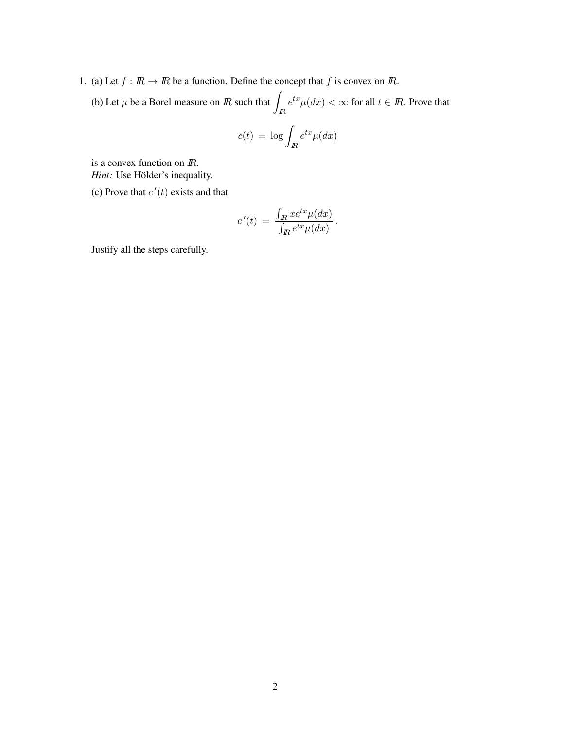- 1. (a) Let  $f : \mathbb{R} \to \mathbb{R}$  be a function. Define the concept that f is convex on  $\mathbb{R}$ .
	- (b) Let  $\mu$  be a Borel measure on  $\overline{R}$  such that IR  $e^{tx}\mu(dx) < \infty$  for all  $t \in \mathbb{R}$ . Prove that

$$
c(t) = \log \int_{I\!\!R} e^{tx} \mu(dx)
$$

is a convex function on IR. *Hint:* Use Hölder's inequality.

(c) Prove that  $c'(t)$  exists and that

$$
c'(t) = \frac{\int_{\mathbb{R}} x e^{tx} \mu(dx)}{\int_{\mathbb{R}} e^{tx} \mu(dx)}.
$$

Justify all the steps carefully.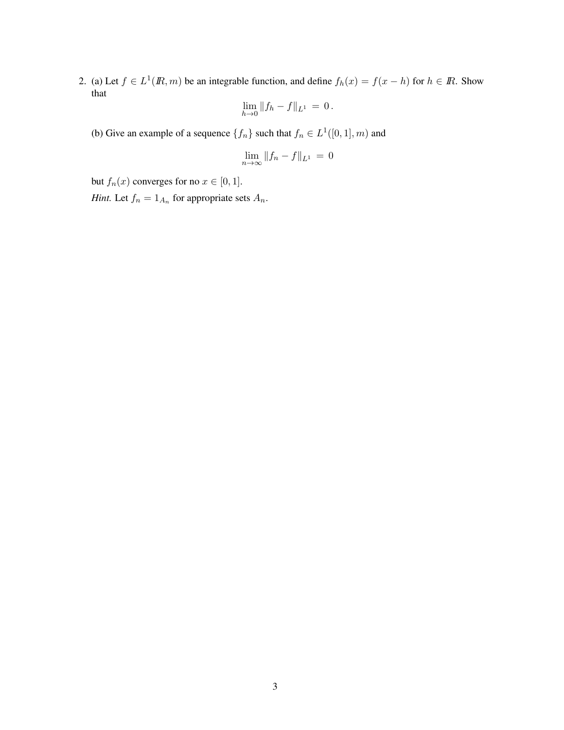2. (a) Let  $f \in L^1(\mathbb{R}, m)$  be an integrable function, and define  $f_h(x) = f(x - h)$  for  $h \in \mathbb{R}$ . Show that

$$
\lim_{h\to 0}||f_h - f||_{L^1} = 0.
$$

(b) Give an example of a sequence  $\{f_n\}$  such that  $f_n \in L^1([0,1], m)$  and

$$
\lim_{n\to\infty}||f_n-f||_{L^1}=0
$$

but  $f_n(x)$  converges for no  $x \in [0, 1]$ .

*Hint.* Let  $f_n = 1_{A_n}$  for appropriate sets  $A_n$ .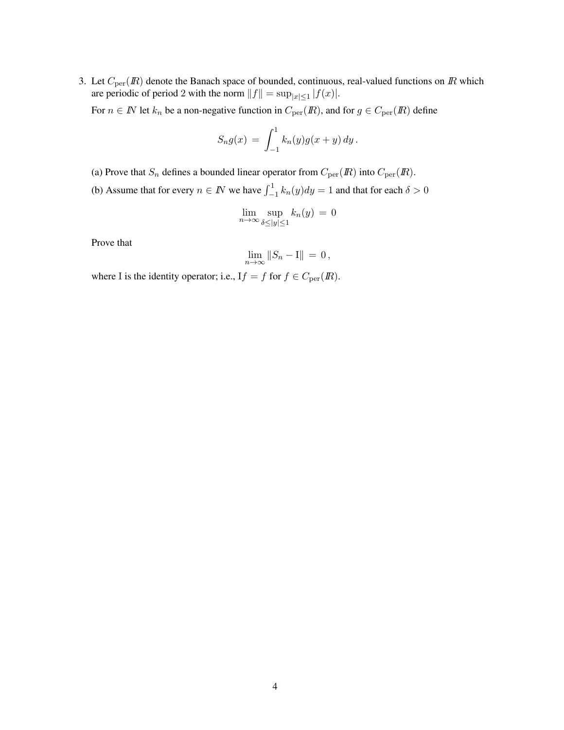3. Let  $C_{\text{per}}(I\!\! R)$  denote the Banach space of bounded, continuous, real-valued functions on  $I\!\! R$  which are periodic of period 2 with the norm  $||f|| = \sup_{|x| \le 1} |f(x)|$ .

For  $n \in \mathbb{N}$  let  $k_n$  be a non-negative function in  $C_{\text{per}}(\mathbb{R})$ , and for  $g \in C_{\text{per}}(\mathbb{R})$  define

$$
S_n g(x) = \int_{-1}^1 k_n(y) g(x+y) \, dy \, .
$$

- (a) Prove that  $S_n$  defines a bounded linear operator from  $C_{\text{per}}(I\!\!R)$  into  $C_{\text{per}}(I\!\!R)$ .
- (b) Assume that for every  $n \in \mathbb{N}$  we have  $\int_{-1}^{1} k_n(y) dy = 1$  and that for each  $\delta > 0$

$$
\lim_{n \to \infty} \sup_{\delta \le |y| \le 1} k_n(y) = 0
$$

Prove that

$$
\lim_{n\to\infty}||S_n-\mathrm{I}||=0\,,
$$

where I is the identity operator; i.e.,  $If = f$  for  $f \in C_{per}(I\!\! R)$ .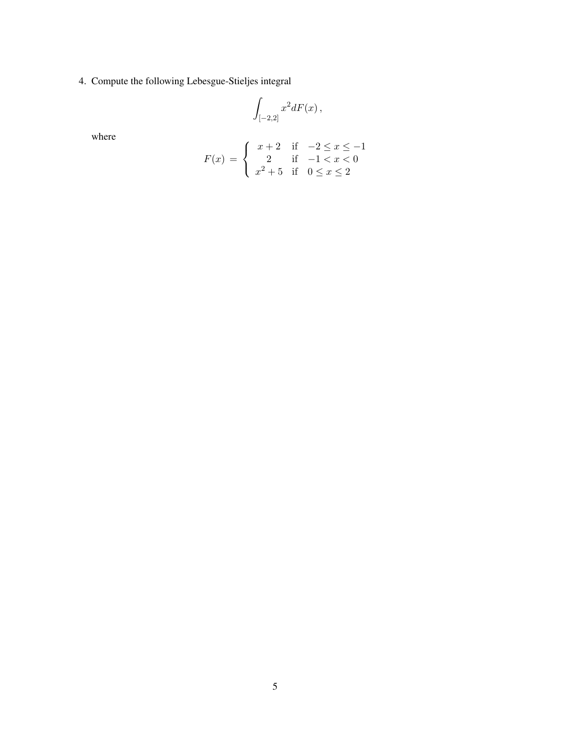4. Compute the following Lebesgue-Stieljes integral

$$
\int_{[-2,2]} x^2 dF(x) ,
$$

where

$$
F(x) = \begin{cases} x+2 & \text{if } -2 \le x \le -1 \\ 2 & \text{if } -1 < x < 0 \\ x^2+5 & \text{if } 0 \le x \le 2 \end{cases}
$$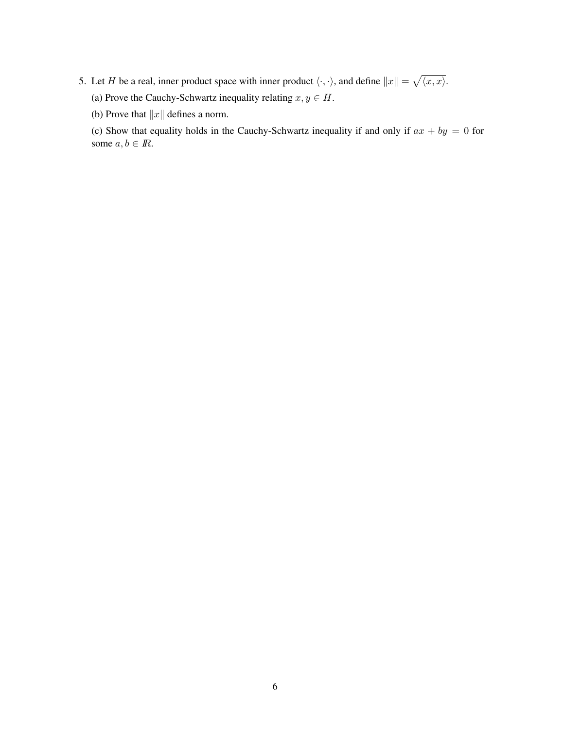- 5. Let H be a real, inner product space with inner product  $\langle \cdot, \cdot \rangle$ , and define  $||x|| = \sqrt{\langle x, x \rangle}$ .
	- (a) Prove the Cauchy-Schwartz inequality relating  $x, y \in H$ .

(b) Prove that  $||x||$  defines a norm.

(c) Show that equality holds in the Cauchy-Schwartz inequality if and only if  $ax + by = 0$  for some  $a, b \in \mathbb{R}$ .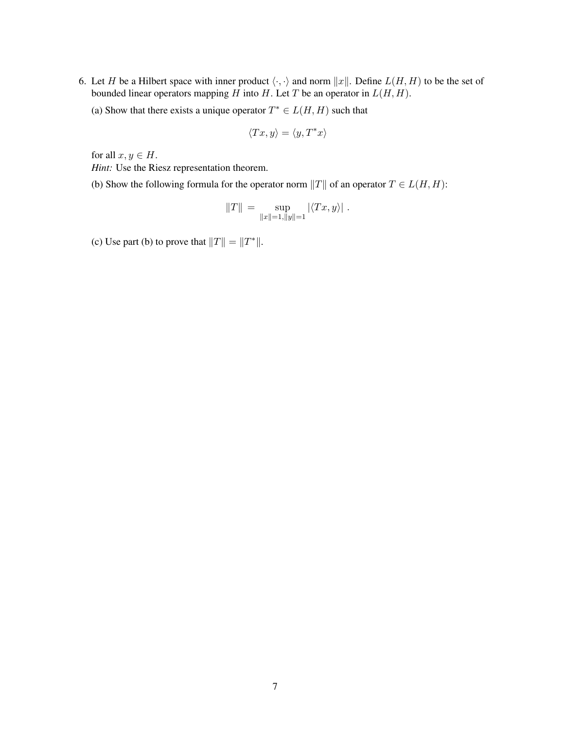6. Let H be a Hilbert space with inner product  $\langle \cdot, \cdot \rangle$  and norm  $||x||$ . Define  $L(H, H)$  to be the set of bounded linear operators mapping H into H. Let T be an operator in  $L(H, H)$ .

(a) Show that there exists a unique operator  $T^* \in L(H, H)$  such that

$$
\langle Tx, y \rangle = \langle y, T^*x \rangle
$$

for all  $x, y \in H$ .

*Hint:* Use the Riesz representation theorem.

(b) Show the following formula for the operator norm  $||T||$  of an operator  $T \in L(H, H)$ :

$$
||T|| = \sup_{||x||=1, ||y||=1} |\langle Tx, y \rangle|.
$$

(c) Use part (b) to prove that  $||T|| = ||T^*||$ .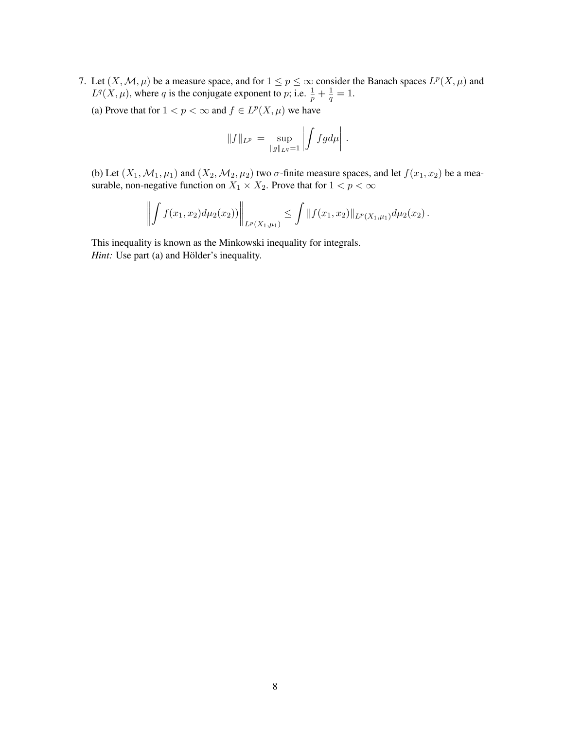- 7. Let  $(X, \mathcal{M}, \mu)$  be a measure space, and for  $1 \le p \le \infty$  consider the Banach spaces  $L^p(X, \mu)$  and  $L^q(X,\mu)$ , where q is the conjugate exponent to p; i.e.  $\frac{1}{p} + \frac{1}{q}$  $\frac{1}{q}=1.$ 
	- (a) Prove that for  $1 < p < \infty$  and  $f \in L^p(X, \mu)$  we have

$$
||f||_{L^p} = \sup_{||g||_{L^q} = 1} \left| \int f g d\mu \right|.
$$

(b) Let  $(X_1, \mathcal{M}_1, \mu_1)$  and  $(X_2, \mathcal{M}_2, \mu_2)$  two  $\sigma$ -finite measure spaces, and let  $f(x_1, x_2)$  be a measurable, non-negative function on  $X_1 \times X_2$ . Prove that for  $1 < p < \infty$ 

$$
\left\| \int f(x_1,x_2) d\mu_2(x_2) \right\|_{L^p(X_1,\mu_1)} \leq \int \|f(x_1,x_2)\|_{L^p(X_1,\mu_1)} d\mu_2(x_2).
$$

This inequality is known as the Minkowski inequality for integrals. *Hint:* Use part (a) and Hölder's inequality.